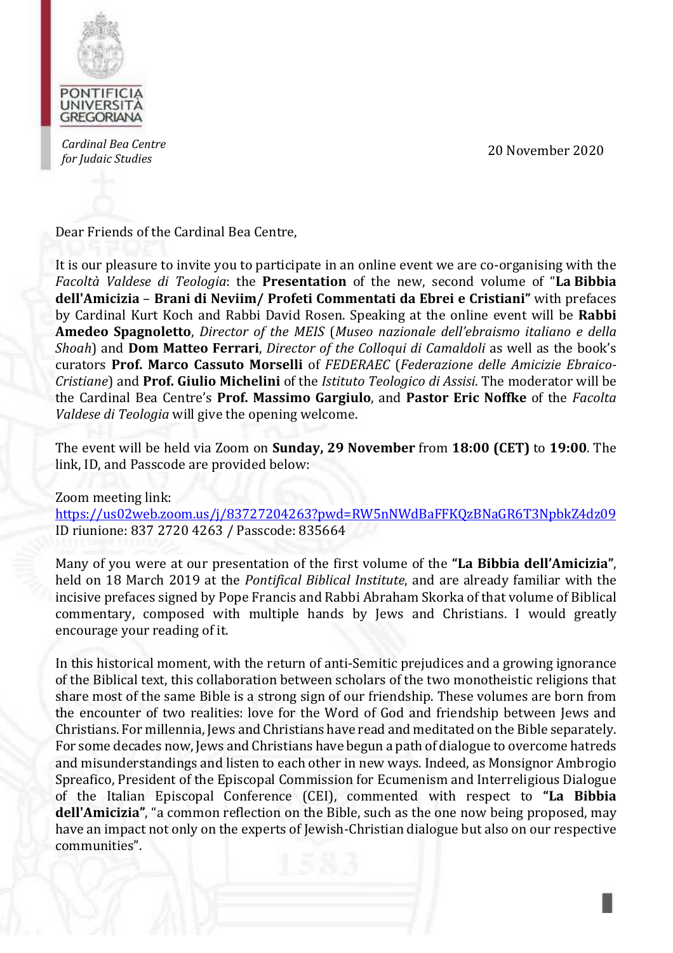

*Cardinal Bea Centre for Judaic Studies* 20 November 2020

Dear Friends of the Cardinal Bea Centre,

It is our pleasure to invite you to participate in an online event we are co-organising with the *Facoltà Valdese di Teologia*: the **Presentation** of the new, second volume of "**La Bibbia dell'Amicizia** – **Brani di Neviim/ Profeti Commentati da Ebrei e Cristiani"** with prefaces by Cardinal Kurt Koch and Rabbi David Rosen. Speaking at the online event will be **Rabbi Amedeo Spagnoletto**, *Director of the MEIS* (*Museo nazionale dell'ebraismo italiano e della Shoah*) and **Dom Matteo Ferrari**, *Director of the Colloqui di Camaldoli* as well as the book's curators **Prof. Marco Cassuto Morselli** of *FEDERAEC* (*Federazione delle Amicizie Ebraico-Cristiane*) and **Prof. Giulio Michelini** of the *Istituto Teologico di Assisi*. The moderator will be the Cardinal Bea Centre's **Prof. Massimo Gargiulo**, and **Pastor Eric Noffke** of the *Facolta Valdese di Teologia* will give the opening welcome.

The event will be held via Zoom on **Sunday, 29 November** from **18:00 (CET)** to **19:00**. The link, ID, and Passcode are provided below:

Zoom meeting link: https://us02web.zoom.us/j/83727204263?pwd=RW5nNWdBaFFKQzBNaGR6T3NpbkZ4dz09 ID riunione: 837 2720 4263 / Passcode: 835664

Many of you were at our presentation of the first volume of the **"La Bibbia dell'Amicizia"**, held on 18 March 2019 at the *Pontifical Biblical Institute*, and are already familiar with the incisive prefaces signed by Pope Francis and Rabbi Abraham Skorka of that volume of Biblical commentary, composed with multiple hands by Jews and Christians. I would greatly encourage your reading of it.

In this historical moment, with the return of anti-Semitic prejudices and a growing ignorance of the Biblical text, this collaboration between scholars of the two monotheistic religions that share most of the same Bible is a strong sign of our friendship. These volumes are born from the encounter of two realities: love for the Word of God and friendship between Jews and Christians. For millennia, Jews and Christians have read and meditated on the Bible separately. For some decades now, Jews and Christians have begun a path of dialogue to overcome hatreds and misunderstandings and listen to each other in new ways. Indeed, as Monsignor Ambrogio Spreafico, President of the Episcopal Commission for Ecumenism and Interreligious Dialogue of the Italian Episcopal Conference (CEI), commented with respect to **"La Bibbia dell'Amicizia"**, "a common reflection on the Bible, such as the one now being proposed, may have an impact not only on the experts of Jewish-Christian dialogue but also on our respective communities".